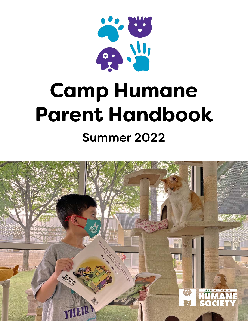

# **Camp Humane Parent Handbook** Summer 2022

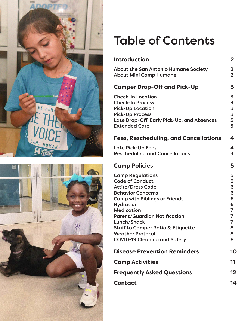



## Table of Contents

| <b>Introduction</b>                                                                                                                                                                                                                                                                                                                                                | $\overline{2}$                                                                |
|--------------------------------------------------------------------------------------------------------------------------------------------------------------------------------------------------------------------------------------------------------------------------------------------------------------------------------------------------------------------|-------------------------------------------------------------------------------|
| <b>About the San Antonio Humane Society</b><br><b>About Mini Camp Humane</b>                                                                                                                                                                                                                                                                                       | $\overline{\mathbf{2}}$<br>$\overline{2}$                                     |
| <b>Camper Drop-Off and Pick-Up</b>                                                                                                                                                                                                                                                                                                                                 | 3                                                                             |
| <b>Check-In Location</b><br><b>Check-In Process</b><br><b>Pick-Up Location</b><br><b>Pick-Up Process</b><br>Late Drop-Off, Early Pick-Up, and Absences<br><b>Extended Care</b>                                                                                                                                                                                     | 3<br>3<br>$\frac{3}{5}$<br>$\overline{\mathbf{3}}$<br>$\overline{\mathbf{3}}$ |
| <b>Fees, Rescheduling, and Cancellations</b>                                                                                                                                                                                                                                                                                                                       | 4                                                                             |
| <b>Late Pick-Up Fees</b><br><b>Rescheduling and Cancellations</b>                                                                                                                                                                                                                                                                                                  | $\overline{\mathbf{4}}$<br>4                                                  |
| <b>Camp Policies</b>                                                                                                                                                                                                                                                                                                                                               | 5                                                                             |
| <b>Camp Regulations</b><br><b>Code of Conduct</b><br><b>Attire/Dress Code</b><br><b>Behavior Concerns</b><br><b>Camp with Siblings or Friends</b><br><b>Hydration</b><br><b>Medication</b><br><b>Parent/Guardian Notification</b><br>Lunch/Snack<br><b>Staff to Camper Ratio &amp; Etiquette</b><br><b>Weather Protocol</b><br><b>COVID-19 Cleaning and Safety</b> | 5<br>5<br>6<br>6<br>6<br>6<br>7<br>7<br>$\overline{7}$<br>8<br>8<br>8         |
| <b>Disease Prevention Reminders</b>                                                                                                                                                                                                                                                                                                                                | 10                                                                            |
| <b>Camp Activities</b>                                                                                                                                                                                                                                                                                                                                             | 11                                                                            |
| <b>Frequently Asked Questions</b>                                                                                                                                                                                                                                                                                                                                  | $12 \,$                                                                       |
| <b>Contact</b>                                                                                                                                                                                                                                                                                                                                                     | 14                                                                            |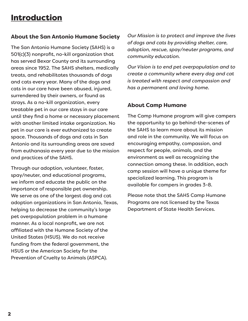## Introduction

#### **About the San Antonio Humane Society**

The San Antonio Humane Society (SAHS) is a 501(c)(3) nonprofit, no-kill organization that has served Bexar County and its surrounding areas since 1952. The SAHS shelters, medically treats, and rehabilitates thousands of dogs and cats every year. Many of the dogs and cats in our care have been abused, injured, surrendered by their owners, or found as strays. As a no-kill organization, every treatable pet in our care stays in our care until they find a home or necessary placement with another limited intake organization. No pet in our care is ever euthanized to create space. Thousands of dogs and cats in San Antonio and its surrounding areas are saved from euthanasia every year due to the mission and practices of the SAHS.

Through our adoption, volunteer, foster, spay/neuter, and educational programs, we inform and educate the public on the importance of responsible pet ownership. We serve as one of the largest dog and cat adoption organizations in San Antonio, Texas, helping to decrease the community's large pet overpopulation problem in a humane manner. As a local nonprofit, we are not affiliated with the Humane Society of the United States (HSUS). We do not receive funding from the federal government, the HSUS or the American Society for the Prevention of Cruelty to Animals (ASPCA).

*Our Mission is to protect and improve the lives of dogs and cats by providing shelter, care, adoption, rescue, spay/neuter programs, and community education.* 

*Our Vision is to end pet overpopulation and to create a community where every dog and cat is treated with respect and compassion and has a permanent and loving home.*

#### **About Camp Humane**

The Camp Humane program will give campers the opportunity to go behind-the-scenes of the SAHS to learn more about its mission and role in the community. We will focus on encouraging empathy, compassion, and respect for people, animals, and the environment as well as recognizing the connection among these. In addition, each camp session will have a unique theme for specialized learning. This program is available for campers in grades 3-8.

Please note that the SAHS Camp Humane Programs are not licensed by the Texas Department of State Health Services.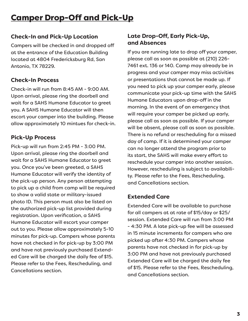## Camper Drop-Off and Pick-Up

#### **Check-In and Pick-Up Location**

Campers will be checked in and dropped off at the entrance of the Education Building located at 4804 Fredericksburg Rd, San Antonio, TX 78229.

#### **Check-In Process**

Check-in will run from 8:45 AM - 9:00 AM. Upon arrival, please ring the doorbell and wait for a SAHS Humane Educator to greet you. A SAHS Humane Educator will then escort your camper into the building. Please allow approximately 10 mintues for check-in.

#### **Pick-Up Process**

Pick-up will run from 2:45 PM - 3:00 PM. Upon arrival, please ring the doorbell and wait for a SAHS Humane Educator to greet you. Once you've been greeted, a SAHS Humane Educator will verify the identity of the pick-up person. Any person attempting to pick up a child from camp will be required to show a valid state or military-issued photo ID. This person must also be listed on the authorized pick-up list provided during registration. Upon verification, a SAHS Humane Educator will escort your camper out to you. Please allow approximately 5-10 minutes for pick-up. Campers whose parents have not checked in for pick-up by 3:00 PM and have not previously purchased Extended Care will be charged the daily fee of \$15. Please refer to the Fees, Rescheduling, and Cancellations section.

#### **Late Drop-Off, Early Pick-Up, and Absences**

If you are running late to drop off your camper, please call as soon as possible at (210) 226- 7461 ext. 136 or 140. Camp may already be in progress and your camper may miss activities or presentations that cannot be made up. If you need to pick up your camper early, please communicate your pick-up time with the SAHS Humane Educators upon drop-off in the morning. In the event of an emergency that will require your camper be picked up early, please call as soon as possible. If your camper will be absent, please call as soon as possible. There is no refund or rescheduling for a missed day of camp. If it is determined your camper can no longer attend the program prior to its start, the SAHS will make every effort to reschedule your camper into another session. However, rescheduling is subject to availability. Please refer to the Fees, Rescheduling, and Cancellations section.

#### **Extended Care**

Extended Care will be available to purchase for all campers at at rate of \$15/day or \$25/ session. Extended Care will run from 3:00 PM - 4:30 PM. A late pick-up fee will be assessed in 15 minute increments for campers who are picked up after 4:30 PM. Campers whose parents have not checked in for pick-up by 3:00 PM and have not previously purchased Extended Care will be charged the daily fee of \$15. Please refer to the Fees, Rescheduling, and Cancellations section.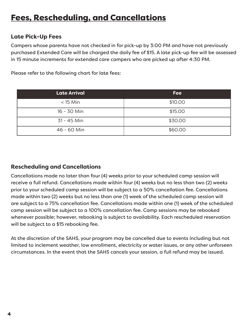#### **Late Pick-Up Fees**

Campers whose parents have not checked in for pick-up by 3:00 PM and have not previously purchased Extended Care will be charged the daily fee of \$15. A late pick-up fee will be assessed in 15 minute increments for extended care campers who are picked up after 4:30 PM.

| <b>Late Arrival</b> | <b>Fee</b> |
|---------------------|------------|
| $<$ 15 Min          | \$10.00    |
| 16 - 30 Min         | \$15.00    |
| 31 - 45 Min         | \$30.00    |
| 46 - 60 Min         | \$60.00    |

Please refer to the following chart for late fees:

#### **Rescheduling and Cancellations**

Cancellations made no later than four (4) weeks prior to your scheduled camp session will receive a full refund. Cancellations made within four (4) weeks but no less than two (2) weeks prior to your scheduled camp session will be subject to a 50% cancellation fee. Cancellations made within two (2) weeks but no less than one (1) week of the scheduled camp session will are subject to a 75% cancellation fee. Cancellations made within one (1) week of the scheduled camp session will be subject to a 100% cancellation fee. Camp sessions may be rebooked whenever possible; however, rebooking is subject to availability. Each rescheduled reservation will be subject to a \$15 rebooking fee.

At the discretion of the SAHS, your program may be cancelled due to events including but not limited to inclement weather, low enrollment, electricity or water issues, or any other unforseen circumstances. In the event that the SAHS cancels your session, a full refund may be issued.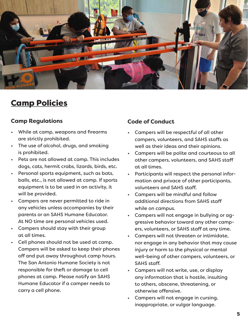

### Camp Policies

#### **Camp Regulations**

- While at camp, weapons and firearms are strictly prohibited.
- The use of alcohol, drugs, and smoking is prohibited.
- Pets are not allowed at camp. This includes dogs, cats, hermit crabs, lizards, birds, etc.
- Personal sports equipment, such as bats, balls, etc., is not allowed at camp. If sports equipment is to be used in an activity, it will be provided.
- Campers are never permitted to ride in any vehicles unless accompanies by their parents or an SAHS Humane Educator. At NO time are personal vehicles used.
- Campers should stay with their group at all times.
- Cell phones should not be used at camp. Campers will be asked to keep their phones off and put away throughout camp hours. The San Antonio Humane Society is not responsible for theft or damage to cell phones at camp. Please notify an SAHS Humane Educator if a camper needs to carry a cell phone.

#### **Code of Conduct**

- Campers will be respectful of all other campers, volunteers, and SAHS staffs as well as their ideas and their opinions.
- Campers will be polite and courteous to all other campers, volunteers, and SAHS staff at all times.
- Participants will respect the personal information and privace of other participants, volunteers and SAHS staff.
- Campers will be mindful and follow additional directions from SAHS staff while on campus.
- Campers will not engage in bullying or aggressive behavior toward any other campers, volunteers, or SAHS staff at any time.
- Campers will not threaten or intimidate, nor engage in any behavior that may cause injury or harm to the physical or mental well-being of other campers, volunteers, or SAHS staff.
- Campers will not write, use, or display any information that is hostile, insulting to others, obscene, threatening, or otherwise offensive.
- Campers will not engage in cursing, inappropriate, or vulgar language.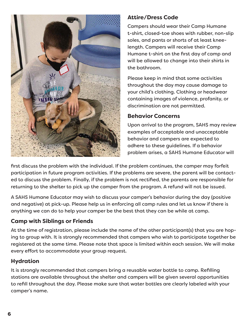

#### **Attire/Dress Code**

Campers should wear their Camp Humane t-shirt, closed-toe shoes with rubber, non-slip soles, and pants or shorts of at least kneelength. Campers will receive their Camp Humane t-shirt on the first day of camp and will be allowed to change into their shirts in the bathroom.

Please keep in mind that some activities throughout the day may cause damage to your child's clothing. Clothing or headwear containing images of violence, profanity, or discrimination are not permitted.

#### **Behavior Concerns**

Upon arrival to the program, SAHS may review examples of acceptable and unacceptable behavior and campers are expected to adhere to these guidelines. If a behavior problem arises, a SAHS Humane Educator will

first discuss the problem with the individual. If the problem continues, the camper may forfeit participation in future program activities. If the problems are severe, the parent will be contacted to discuss the problem. Finally, if the problem is not rectified, the parents are responsible for returning to the shelter to pick up the camper from the program. A refund will not be issued.

A SAHS Humane Educator may wish to discuss your camper's behavior during the day (positive and negative) at pick-up. Please help us in enforcing all camp rules and let us know if there is anything we can do to help your camper be the best that they can be while at camp.

#### **Camp with Siblings or Friends**

At the time of registration, please include the name of the other participant(s) that you are hoping to group with. It is strongly recommended that campers who wish to participate together be registered at the same time. Please note that space is limited within each session. We will make every effort to accommodate your group request.

#### **Hydration**

It is strongly recommended that campers bring a reusable water bottle to camp. Refilling stations are available throughout the shelter and campers will be given several opportunities to refill throughout the day. Please make sure that water bottles are clearly labeled with your camper's name.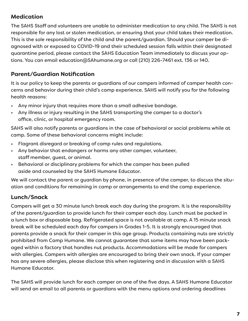#### **Medication**

The SAHS Staff and volunteers are unable to administer medication to any child. The SAHS is not responsible for any lost or stolen medication, or ensuring that your child takes their medication. This is the sole responsibility of the child and the parent/guardian. Should your camper be diagnosed with or exposed to COVID-19 and their scheduled session falls within their designated quarantine period, please contact the SAHS Education Team immediately to discuss your options. You can email education@SAhumane.org or call (210) 226-7461 ext. 136 or 140.

#### **Parent/Guardian Notification**

It is our policy to keep the parents or guardians of our campers informed of camper health concerns and behavior during their child's camp experience. SAHS will notify you for the following health reasons:

- Any minor injury that requires more than a small adhesive bandage.
- Any illness or injury resulting in the SAHS transporting the camper to a doctor's office, clinic, or hospital emergency room.

SAHS will also notify parents or guardians in the case of behavioral or social problems while at camp. Some of these behavioral concerns might include:

- Flagrant disregard or breaking of camp rules and regulations.
- Any behavior that endangers or harms any other camper, volunteer, staff member, guest, or animal.
- Behavioral or disciplinary problems for which the camper has been pulled aside and counseled by the SAHS Humane Educator.

We will contact the parent or guardian by phone, in presence of the camper, to discuss the situation and conditions for remaining in camp or arrangements to end the camp experience.

#### **Lunch/Snack**

Campers will get a 30 minute lunch break each day during the program. It is the responsibility of the parent/guardian to provide lunch for their camper each day. Lunch must be packed in a lunch box or disposable bag. Refrigerated space is not available at camp. A 15 minute snack break will be scheduled each day for campers in Grades 1-5. It is strongly encouraged that parents provide a snack for their camper in this age group. Products containing nuts are strictly prohibited from Camp Humane. We cannot guarantee that some items may have been packaged within a factory that handles nut products. Accommodations will be made for campers with allergies. Campers with allergies are encouraged to bring their own snack. If your camper has any severe allergies, please disclose this when registering and in discussion with a SAHS Humane Educator.

The SAHS will provide lunch for each camper on one of the five days. A SAHS Humane Educator will send an email to all parents or guardians with the menu options and ordering deadlines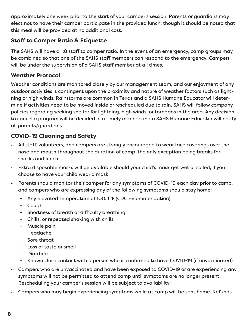approximately one week prior to the start of your camper's session. Parents or guardians may elect not to have their camper participate in the provided lunch, though it should be noted that this meal will be provided at no additional cost.

#### **Staff to Camper Ratio & Etiquette**

The SAHS will have a 1:8 staff to camper ratio. In the event of an emergency, camp groups may be combined so that one of the SAHS staff members can respond to the emergency. Campers will be under the supervision of a SAHS staff member at all times.

#### **Weather Protocol**

Weather conditions are monitored closely by our management team, and our enjoyment of any outdoor activities is contingent upon the proximity and nature of weather factors such as lightning or high winds. Rainstorms are common in Texas and a SAHS Humane Educator will determine if activities need to be moved inside or rescheduled due to rain. SAHS will follow company policies regarding seeking shelter for lightning, high winds, or tornados in the area. Any decision to cancel a program will be decided in a timely manner and a SAHS Humane Educator will notify all parents/guardians.

#### **COVID-19 Cleaning and Safety**

- All staff, volunteers, and campers are strongly encouraged to wear face coverings over the nose and mouth throughout the duration of camp, the only exception being breaks for snacks and lunch.
- Extra disposable masks will be available should your child's mask get wet or soiled, if you choose to have your child wear a mask.
- Parents should monitor their camper for any symptoms of COVID-19 each day prior to camp, and campers who are expressing any of the following symptoms should stay home:
	- Any elevated temperature of 100.4°F (CDC recommendation)
	- Cough
	- Shortness of breath or difficulty breathing
	- Chills, or repeated shaking with chills
	- Muscle pain
	- Headache
	- Sore throat
	- Loss of taste or smell
	- Diarrhea
	- Known close contact with a person who is confirmed to have COVID-19 (if unvaccinated)
- Campers who are unvaccinated and have been exposed to COVID-19 or are experiencing any symptoms will not be permitted to attend camp until symptoms are no longer present. Rescheduling your camper's session will be subject to availability.
- Campers who may begin experiencing symptoms while at camp will be sent home. Refunds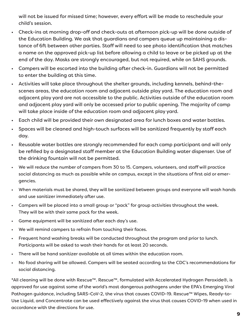will not be issued for missed time; however, every effort will be made to reschedule your child's session.

- Check-ins at morning drop-off and check-outs at afternoon pick-up will be done outside of the Education Building. We ask that guardians and campers queue up maintaining a distance of 6ft between other parties. Staff will need to see photo identification that matches a name on the approved pick-up list before allowing a child to leave or be picked up at the end of the day. Masks are strongly encouraged, but not required, while on SAHS grounds.
- Campers will be escorted into the building after check-in. Guardians will not be permitted to enter the building at this time.
- Activities will take place throughout the shelter grounds, including kennels, behind-thescenes areas, the education room and adjacent outside play yard. The education room and adjacent play yard are not accessible to the public. Activities outside of the education room and adjacent play yard will only be accessed prior to public opening. The majority of camp will take place inside of the education room and adjacent play yard.
- Each child will be provided their own designated area for lunch boxes and water bottles.
- Spaces will be cleaned and high-touch surfaces will be sanitized frequently by staff each day.
- Reusable water bottles are strongly recommended for each camp participant and will only be refilled by a designated staff member at the Education Building water dispenser. Use of the drinking fountain will not be permitted.
- We will reduce the number of campers from 30 to 15. Campers, volunteers, and staff will practice social distancing as much as possible while on campus, except in the situations of first aid or emergencies.
- When materials must be shared, they will be sanitized between groups and everyone will wash hands and use sanitizer immediately after use.
- Campers will be placed into a small group or "pack" for group activities throughout the week. They will be with their same pack for the week.
- Game equipment will be sanitized after each day's use.
- We will remind campers to refrain from touching their faces.
- Frequent hand washing breaks will be conducted throughout the program and prior to lunch. Participants will be asked to wash their hands for at least 20 seconds.
- There will be hand sanitizer available at all times within the education room.
- No food sharing will be allowed. Campers will be seated according to the CDC's recommendations for social distancing.

\*All cleaning will be done with Rescue™. Rescue™, formulated with Accelerated Hydrogen Peroxide®, is approved for use against some of the world's most dangerous pathogens under the EPA's Emerging Viral Pathogen guidance, including SARS-CoV-2, the virus that causes COVID-19. Rescue™ Wipes, Ready-to-Use Liquid, and Concentrate can be used effectively against the virus that causes COVID-19 when used in accordance with the directions for use.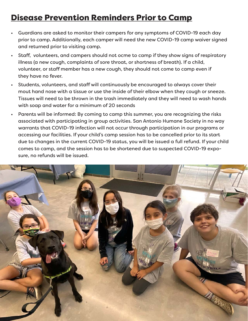## Disease Prevention Reminders Prior to Camp

- Guardians are asked to monitor their campers for any symptoms of COVID-19 each day prior to camp. Additionally, each camper will need the new COVID-19 camp waiver signed and returned prior to visiting camp.
- Staff, volunteers, and campers should not ocme to camp if they show signs of respiratory illness (a new cough, complaints of sore throat, or shortness of breath). If a child, volunteer, or staff member has a new cough, they should not come to camp even if they have no fever.
- Students, volunteers, and staff will continuously be encouraged to always cover their mout hand nose with a tissue or use the inside of their elbow when they cough or sneeze. Tissues will need to be thrown in the trash immediately and they will need to wash hands with soap and water for a minimum of 20 seconds
- Parents will be informed: By coming to camp this summer, you are recognizing the risks associated with participating in group activities. San Antonio Humane Society in no way warrants that COVID-19 infection will not occur through participation in our programs or accessing our facilities. If your child's camp session has to be cancelled prior to its start due to changes in the current COVID-19 status, you will be issued a full refund. If your child comes to camp, and the session has to be shortened due to suspected COVID-19 exposure, no refunds will be issued.

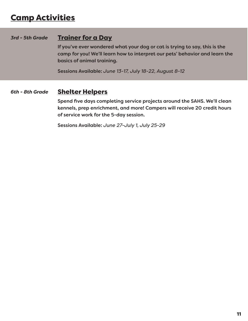## Camp Activities

#### **Trainer for a Day** *3rd - 5th Grade*

If you've ever wondered what your dog or cat is trying to say, this is the camp for you! We'll learn how to interpret our pets' behavior and learn the basics of animal training.

Sessions Available: *June 13-17, July 18-22, August 8-12*

#### Shelter Helpers *6th - 8th Grade*

Spend five days completing service projects around the SAHS. We'll clean kennels, prep enrichment, and more! Campers will receive 20 credit hours of service work for the 5-day session.

Sessions Available: *June 27-July 1, July 25-29*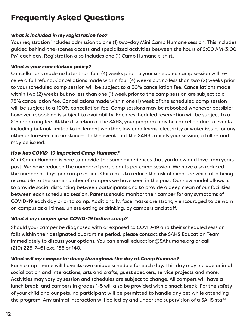## Frequently Asked Questions

#### *What is included in my registration fee?*

Your registration includes admission to one (1) two-day Mini Camp Humane session. This includes guided behind-the-scenes access and specialized activities between the hours of 9:00 AM-3:00 PM each day. Registration also includes one (1) Camp Humane t-shirt.

#### *What is your cancellation policy?*

Cancellations made no later than four (4) weeks prior to your scheduled camp session will receive a full refund. Cancellations made within four (4) weeks but no less than two (2) weeks prior to your scheduled camp session will be subject to a 50% cancellation fee. Cancellations made within two (2) weeks but no less than one (1) week prior to the camp session are subject to a 75% cancellation fee. Cancellations made within one (1) week of the scheduled camp session will be subject to a 100% cancellation fee. Camp sessions may be rebooked whenever possible; however, rebooking is subject to availability. Each rescheduled reservation will be subject to a \$15 rebooking fee. At the discretion of the SAHS, your program may be cancelled due to events including but not limited to inclement weather, low enrollment, electricity or water issues, or any other unforeseen circumstances. In the event that the SAHS cancels your session, a full refund may be issued.

#### *How has COVID-19 impacted Camp Humane?*

Mini Camp Humane is here to provide the same experiences that you know and love from years past. We have reduced the number of participants per camp session. We have also reduced the number of days per camp session. Our aim is to reduce the risk of exposure while also being accessible to the same number of campers we have seen in the past. Our new model allows us to provide social distancing between participants and to provide a deep clean of our facilities between each scheduled session. Parents should monitor their camper for any symptoms of COVID-19 each day prior to camp. Additionally, face masks are strongly encouraged to be worn on campus at all times, unless eating or drinking, by campers and staff.

#### *What if my camper gets COVID-19 before camp?*

Should your camper be diagnosed with or exposed to COVID-19 and their scheduled session falls within their designated quarantine period, please contact the SAHS Education Team immediately to discuss your options. You can email education@SAhumane.org or call (210) 226-7461 ext. 136 or 140.

#### *What will my camper be doing throughout the day at Camp Humane?*

Each camp theme will have its own unique schedule for each day. This day may include animal socialization and interactions, arts and crafts, guest speakers, service projects and more. Activities may vary by session and schedules are subject to change. All campers will have a lunch break, and campers in grades 1-5 will also be provided with a snack break. For the safety of your child and our pets, no participant will be permitted to handle any pet while attending the program. Any animal interaction will be led by and under the supervision of a SAHS staff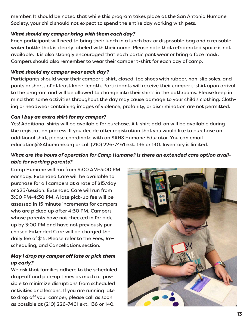member. It should be noted that while this program takes place at the San Antonio Humane Society, your child should not expect to spend the entire day working with pets.

#### *What should my camper bring with them each day?*

Each participant will need to bring their lunch in a lunch box or disposable bag and a reusable water bottle that is clearly labeled with their name. Please note that refrigerated space is not available. It is also strongly encouraged that each participant wear or bring a face mask. Campers should also remember to wear their camper t-shirt for each day of camp.

#### *What should my camper wear each day?*

Participants should wear their camper t-shirt, closed-toe shoes with rubber, non-slip soles, and pants or shorts of at least knee-length. Participants will receive their camper t-shirt upon arrival to the program and will be allowed to change into their shirts in the bathrooms. Please keep in mind that some activities throughout the day may cause damage to your child's clothing. Clothing or headwear containing images of violence, profanity, or discrimination are not permitted.

#### *Can I buy an extra shirt for my camper?*

Yes! Additional shirts will be available for purchase. A t-shirt add-on will be available during the registration process. If you decide after registration that you would like to purchase an additional shirt, please coordinate with an SAHS Humane Educator. You can email education@SAhumane.org or call (210) 226-7461 ext. 136 or 140. Inventory is limited.

#### *What are the hours of operation for Camp Humane? Is there an extended care option available for working parents?*

Camp Humane will run from 9:00 AM-3:00 PM eachday. Extended Care will be available to purchase for all campers at a rate of \$15/day or \$25/session. Extended Care will run from 3:00 PM-4:30 PM. A late pick-up fee will be assessed in 15 minute increments for campers who are picked up after 4:30 PM. Campers whose parents have not checked in for pickup by 3:00 PM and have not previously purchased Extended Care will be charged the daily fee of \$15. Please refer to the Fees, Rescheduling, and Cancellations section.

#### *May I drop my camper off late or pick them up early?*

We ask that families adhere to the scheduled drop-off and pick-up times as much as possible to minimize disruptions from scheduled activities and lessons. If you are running late to drop off your camper, please call as soon as possible at (210) 226-7461 ext. 136 or 140.